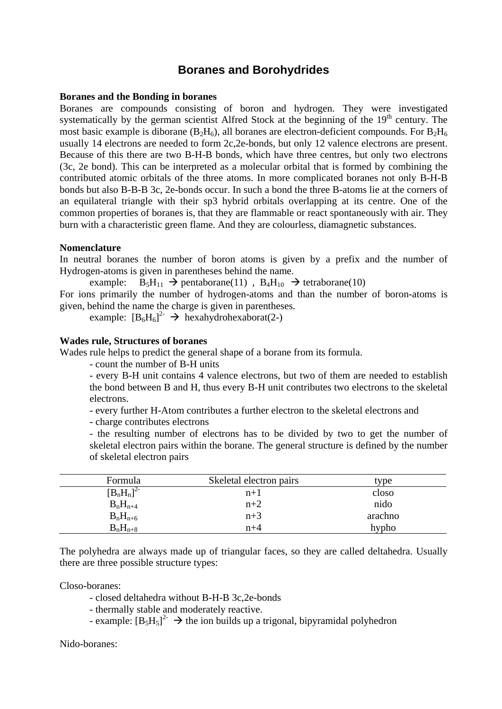# **Boranes and Borohydrides**

#### **Boranes and the Bonding in boranes**

Boranes are compounds consisting of boron and hydrogen. They were investigated systematically by the german scientist Alfred Stock at the beginning of the  $19<sup>th</sup>$  century. The most basic example is diborane ( $B_2H_6$ ), all boranes are electron-deficient compounds. For  $B_2H_6$ usually 14 electrons are needed to form 2c,2e-bonds, but only 12 valence electrons are present. Because of this there are two B-H-B bonds, which have three centres, but only two electrons (3c, 2e bond). This can be interpreted as a molecular orbital that is formed by combining the contributed atomic orbitals of the three atoms. In more complicated boranes not only B-H-B bonds but also B-B-B 3c, 2e-bonds occur. In such a bond the three B-atoms lie at the corners of an equilateral triangle with their sp3 hybrid orbitals overlapping at its centre. One of the common properties of boranes is, that they are flammable or react spontaneously with air. They burn with a characteristic green flame. And they are colourless, diamagnetic substances.

## **Nomenclature**

In neutral boranes the number of boron atoms is given by a prefix and the number of Hydrogen-atoms is given in parentheses behind the name.

example:  $B_5H_{11} \rightarrow$  pentaborane(11),  $B_4H_{10} \rightarrow$  tetraborane(10) For ions primarily the number of hydrogen-atoms and than the number of boron-atoms is given, behind the name the charge is given in parentheses.

example:  $[B_6H_6]^2$   $\rightarrow$  hexahydrohexaborat(2-)

## **Wades rule, Structures of boranes**

Wades rule helps to predict the general shape of a borane from its formula.

- count the number of B-H units

- every B-H unit contains 4 valence electrons, but two of them are needed to establish the bond between B and H, thus every B-H unit contributes two electrons to the skeletal electrons.

- every further H-Atom contributes a further electron to the skeletal electrons and

- charge contributes electrons

- the resulting number of electrons has to be divided by two to get the number of skeletal electron pairs within the borane. The general structure is defined by the number of skeletal electron pairs

| Formula            | Skeletal electron pairs | type    |
|--------------------|-------------------------|---------|
| $[B_nH_n]$<br>-2 - | $n+1$                   | closo   |
| $B_nH_{n+4}$       | $n+2$                   | nido    |
| $B_nH_{n+6}$       | $n+3$                   | arachno |
| $B_nH_{n+8}$       | $n+4$                   | hypho   |

The polyhedra are always made up of triangular faces, so they are called deltahedra. Usually there are three possible structure types:

Closo-boranes:

- closed deltahedra without B-H-B 3c,2e-bonds

- thermally stable and moderately reactive.

- example:  $[B_5H_5]^2$   $\rightarrow$  the ion builds up a trigonal, bipyramidal polyhedron

Nido-boranes: